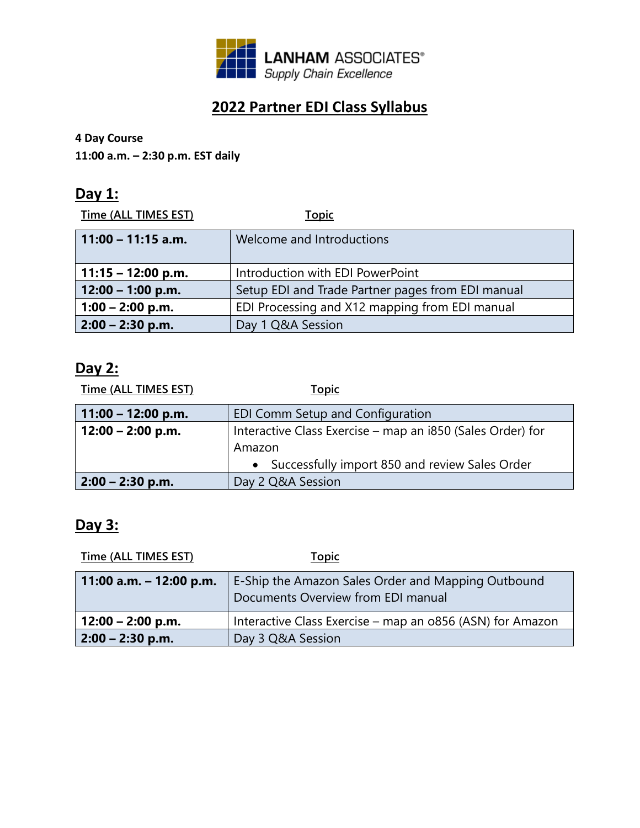

# **2022 Partner EDI Class Syllabus**

#### **4 Day Course**

**11:00 a.m. – 2:30 p.m. EST daily**

## **Day 1:**

**Time (ALL TIMES EST) Topic**

| $11:00 - 11:15$ a.m. | Welcome and Introductions                         |
|----------------------|---------------------------------------------------|
| $11:15 - 12:00$ p.m. | Introduction with EDI PowerPoint                  |
| $12:00 - 1:00$ p.m.  | Setup EDI and Trade Partner pages from EDI manual |
| $1:00 - 2:00$ p.m.   | EDI Processing and X12 mapping from EDI manual    |
| $2:00 - 2:30$ p.m.   | Day 1 Q&A Session                                 |

#### **Day 2:**

| <b>Time (ALL TIMES EST)</b> | <b>Topic</b>                                               |
|-----------------------------|------------------------------------------------------------|
| $11:00 - 12:00 p.m.$        | EDI Comm Setup and Configuration                           |
| 12:00 – 2:00 p.m.           | Interactive Class Exercise – map an i850 (Sales Order) for |
|                             | Amazon                                                     |
|                             | • Successfully import 850 and review Sales Order           |
| $2:00 - 2:30$ p.m.          | Day 2 Q&A Session                                          |

# **Day 3:**

| Time (ALL TIMES EST)      | <b>Topic</b>                                                                             |
|---------------------------|------------------------------------------------------------------------------------------|
| 11:00 a.m. $-$ 12:00 p.m. | E-Ship the Amazon Sales Order and Mapping Outbound<br>Documents Overview from EDI manual |
| $12:00 - 2:00$ p.m.       | Interactive Class Exercise - map an o856 (ASN) for Amazon                                |
| $2:00 - 2:30$ p.m.        | Day 3 Q&A Session                                                                        |